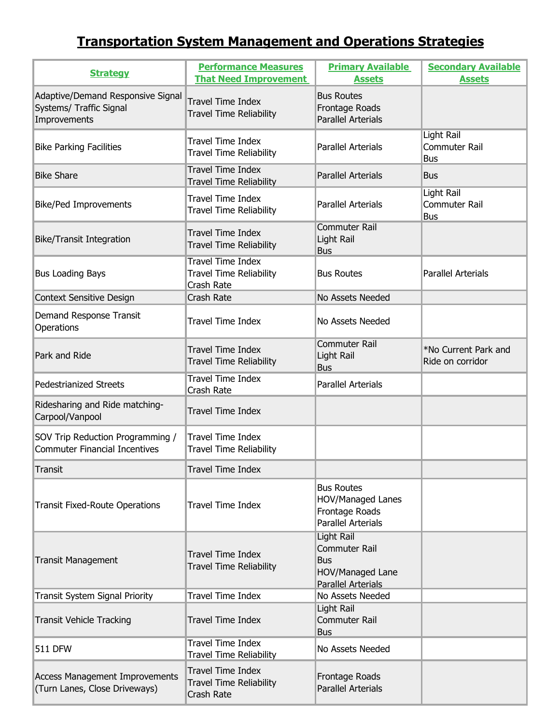## **Transportation System Management and Operations Strategies**

| <b>Strategy</b>                                                              | <b>Performance Measures</b><br><b>That Need Improvement</b>              | <b>Primary Available</b><br><b>Assets</b>                                                    | <b>Secondary Available</b><br><b>Assets</b>      |
|------------------------------------------------------------------------------|--------------------------------------------------------------------------|----------------------------------------------------------------------------------------------|--------------------------------------------------|
| Adaptive/Demand Responsive Signal<br>Systems/ Traffic Signal<br>Improvements | <b>Travel Time Index</b><br><b>Travel Time Reliability</b>               | <b>Bus Routes</b><br>Frontage Roads<br><b>Parallel Arterials</b>                             |                                                  |
| <b>Bike Parking Facilities</b>                                               | <b>Travel Time Index</b><br><b>Travel Time Reliability</b>               | <b>Parallel Arterials</b>                                                                    | <b>Light Rail</b><br>Commuter Rail<br><b>Bus</b> |
| <b>Bike Share</b>                                                            | <b>Travel Time Index</b><br><b>Travel Time Reliability</b>               | <b>Parallel Arterials</b>                                                                    | <b>Bus</b>                                       |
| <b>Bike/Ped Improvements</b>                                                 | <b>Travel Time Index</b><br><b>Travel Time Reliability</b>               | <b>Parallel Arterials</b>                                                                    | Light Rail<br>Commuter Rail<br><b>Bus</b>        |
| <b>Bike/Transit Integration</b>                                              | <b>Travel Time Index</b><br><b>Travel Time Reliability</b>               | <b>Commuter Rail</b><br>Light Rail<br><b>Bus</b>                                             |                                                  |
| <b>Bus Loading Bays</b>                                                      | <b>Travel Time Index</b><br><b>Travel Time Reliability</b><br>Crash Rate | <b>Bus Routes</b>                                                                            | <b>Parallel Arterials</b>                        |
| Context Sensitive Design                                                     | Crash Rate                                                               | No Assets Needed                                                                             |                                                  |
| Demand Response Transit<br>Operations                                        | <b>Travel Time Index</b>                                                 | No Assets Needed                                                                             |                                                  |
| Park and Ride                                                                | <b>Travel Time Index</b><br><b>Travel Time Reliability</b>               | <b>Commuter Rail</b><br>Light Rail<br><b>Bus</b>                                             | *No Current Park and<br>Ride on corridor         |
| <b>Pedestrianized Streets</b>                                                | <b>Travel Time Index</b><br>Crash Rate                                   | <b>Parallel Arterials</b>                                                                    |                                                  |
| Ridesharing and Ride matching-<br>Carpool/Vanpool                            | <b>Travel Time Index</b>                                                 |                                                                                              |                                                  |
| SOV Trip Reduction Programming /<br><b>Commuter Financial Incentives</b>     | <b>Travel Time Index</b><br><b>Travel Time Reliability</b>               |                                                                                              |                                                  |
| <b>Transit</b>                                                               | <b>Travel Time Index</b>                                                 |                                                                                              |                                                  |
| <b>Transit Fixed-Route Operations</b>                                        | <b>Travel Time Index</b>                                                 | <b>Bus Routes</b><br><b>HOV/Managed Lanes</b><br>Frontage Roads<br><b>Parallel Arterials</b> |                                                  |
| <b>Transit Management</b>                                                    | <b>Travel Time Index</b><br><b>Travel Time Reliability</b>               | Light Rail<br>Commuter Rail<br><b>Bus</b><br>HOV/Managed Lane<br><b>Parallel Arterials</b>   |                                                  |
| Transit System Signal Priority                                               | <b>Travel Time Index</b>                                                 | No Assets Needed                                                                             |                                                  |
| <b>Transit Vehicle Tracking</b>                                              | <b>Travel Time Index</b>                                                 | Light Rail<br>Commuter Rail<br><b>Bus</b>                                                    |                                                  |
| <b>511 DFW</b>                                                               | <b>Travel Time Index</b><br><b>Travel Time Reliability</b>               | No Assets Needed                                                                             |                                                  |
| <b>Access Management Improvements</b><br>(Turn Lanes, Close Driveways)       | <b>Travel Time Index</b><br><b>Travel Time Reliability</b><br>Crash Rate | Frontage Roads<br><b>Parallel Arterials</b>                                                  |                                                  |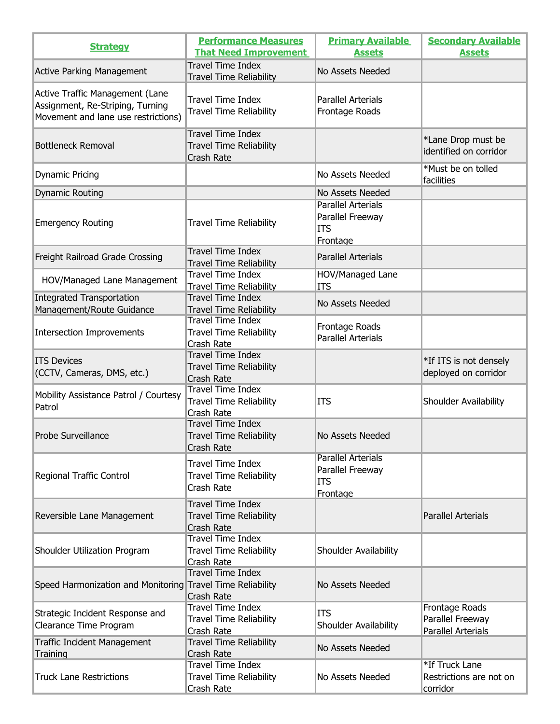| <b>Strategy</b>                                                                                            | <b>Performance Measures</b><br><b>That Need Improvement</b>              | <b>Primary Available</b><br><b>Assets</b>                               | <b>Secondary Available</b><br><b>Assets</b>                     |
|------------------------------------------------------------------------------------------------------------|--------------------------------------------------------------------------|-------------------------------------------------------------------------|-----------------------------------------------------------------|
| <b>Active Parking Management</b>                                                                           | <b>Travel Time Index</b><br><b>Travel Time Reliability</b>               | No Assets Needed                                                        |                                                                 |
| Active Traffic Management (Lane<br>Assignment, Re-Striping, Turning<br>Movement and lane use restrictions) | <b>Travel Time Index</b><br><b>Travel Time Reliability</b>               | <b>Parallel Arterials</b><br>Frontage Roads                             |                                                                 |
| <b>Bottleneck Removal</b>                                                                                  | <b>Travel Time Index</b><br><b>Travel Time Reliability</b><br>Crash Rate |                                                                         | *Lane Drop must be<br>identified on corridor                    |
| <b>Dynamic Pricing</b>                                                                                     |                                                                          | No Assets Needed                                                        | *Must be on tolled<br>facilities                                |
| <b>Dynamic Routing</b>                                                                                     |                                                                          | No Assets Needed                                                        |                                                                 |
| <b>Emergency Routing</b>                                                                                   | <b>Travel Time Reliability</b>                                           | <b>Parallel Arterials</b><br>Parallel Freeway<br>ITS<br>Frontage        |                                                                 |
| Freight Railroad Grade Crossing                                                                            | <b>Travel Time Index</b><br><b>Travel Time Reliability</b>               | <b>Parallel Arterials</b>                                               |                                                                 |
| HOV/Managed Lane Management                                                                                | <b>Travel Time Index</b><br><b>Travel Time Reliability</b>               | HOV/Managed Lane<br>ITS                                                 |                                                                 |
| <b>Integrated Transportation</b><br>Management/Route Guidance                                              | <b>Travel Time Index</b><br><b>Travel Time Reliability</b>               | No Assets Needed                                                        |                                                                 |
| Intersection Improvements                                                                                  | <b>Travel Time Index</b><br><b>Travel Time Reliability</b><br>Crash Rate | Frontage Roads<br><b>Parallel Arterials</b>                             |                                                                 |
| <b>ITS Devices</b><br>(CCTV, Cameras, DMS, etc.)                                                           | <b>Travel Time Index</b><br><b>Travel Time Reliability</b><br>Crash Rate |                                                                         | *If ITS is not densely<br>deployed on corridor                  |
| Mobility Assistance Patrol / Courtesy<br>Patrol                                                            | <b>Travel Time Index</b><br>Travel Time Reliability<br>Crash Rate        | ITS                                                                     | Shoulder Availability                                           |
| Probe Surveillance                                                                                         | <b>Travel Time Index</b><br><b>Travel Time Reliability</b><br>Crash Rate | No Assets Needed                                                        |                                                                 |
| Regional Traffic Control                                                                                   | <b>Travel Time Index</b><br><b>Travel Time Reliability</b><br>Crash Rate | <b>Parallel Arterials</b><br>Parallel Freeway<br><b>ITS</b><br>Frontage |                                                                 |
| Reversible Lane Management                                                                                 | <b>Travel Time Index</b><br><b>Travel Time Reliability</b><br>Crash Rate |                                                                         | <b>Parallel Arterials</b>                                       |
| Shoulder Utilization Program                                                                               | <b>Travel Time Index</b><br><b>Travel Time Reliability</b><br>Crash Rate | Shoulder Availability                                                   |                                                                 |
| Speed Harmonization and Monitoring Travel Time Reliability                                                 | <b>Travel Time Index</b><br>Crash Rate                                   | No Assets Needed                                                        |                                                                 |
| Strategic Incident Response and<br>Clearance Time Program                                                  | <b>Travel Time Index</b><br><b>Travel Time Reliability</b><br>Crash Rate | ITS<br>Shoulder Availability                                            | Frontage Roads<br>Parallel Freeway<br><b>Parallel Arterials</b> |
| Traffic Incident Management<br>Training                                                                    | <b>Travel Time Reliability</b><br>Crash Rate                             | No Assets Needed                                                        |                                                                 |
| <b>Truck Lane Restrictions</b>                                                                             | <b>Travel Time Index</b><br><b>Travel Time Reliability</b><br>Crash Rate | No Assets Needed                                                        | *If Truck Lane<br>Restrictions are not on<br>corridor           |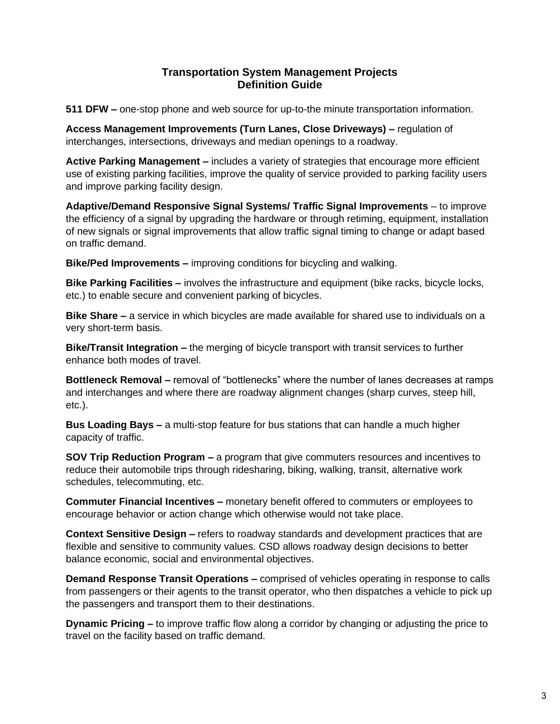## **Transportation System Management Projects Definition Guide**

**511 DFW –** one-stop phone and web source for up-to-the minute transportation information.

**Access Management Improvements (Turn Lanes, Close Driveways) –** regulation of interchanges, intersections, driveways and median openings to a roadway.

**Active Parking Management –** includes a variety of strategies that encourage more efficient use of existing parking facilities, improve the quality of service provided to parking facility users and improve parking facility design.

**Adaptive/Demand Responsive Signal Systems/ Traffic Signal Improvements** – to improve the efficiency of a signal by upgrading the hardware or through retiming, equipment, installation of new signals or signal improvements that allow traffic signal timing to change or adapt based on traffic demand.

**Bike/Ped Improvements –** improving conditions for bicycling and walking.

**Bike Parking Facilities –** involves the infrastructure and equipment (bike racks, bicycle locks, etc.) to enable secure and convenient parking of bicycles.

**Bike Share –** a service in which bicycles are made available for shared use to individuals on a very short-term basis.

**Bike/Transit Integration –** the merging of bicycle transport with transit services to further enhance both modes of travel.

**Bottleneck Removal –** removal of "bottlenecks" where the number of lanes decreases at ramps and interchanges and where there are roadway alignment changes (sharp curves, steep hill, etc.).

**Bus Loading Bays –** a multi-stop feature for bus stations that can handle a much higher capacity of traffic.

**SOV Trip Reduction Program –** a program that give commuters resources and incentives to reduce their automobile trips through ridesharing, biking, walking, transit, alternative work schedules, telecommuting, etc.

**Commuter Financial Incentives –** monetary benefit offered to commuters or employees to encourage behavior or action change which otherwise would not take place.

**Context Sensitive Design –** refers to roadway standards and development practices that are flexible and sensitive to community values. CSD allows roadway design decisions to better balance economic, social and environmental objectives.

**Demand Response Transit Operations –** comprised of vehicles operating in response to calls from passengers or their agents to the transit operator, who then dispatches a vehicle to pick up the passengers and transport them to their destinations.

**Dynamic Pricing –** to improve traffic flow along a corridor by changing or adjusting the price to travel on the facility based on traffic demand.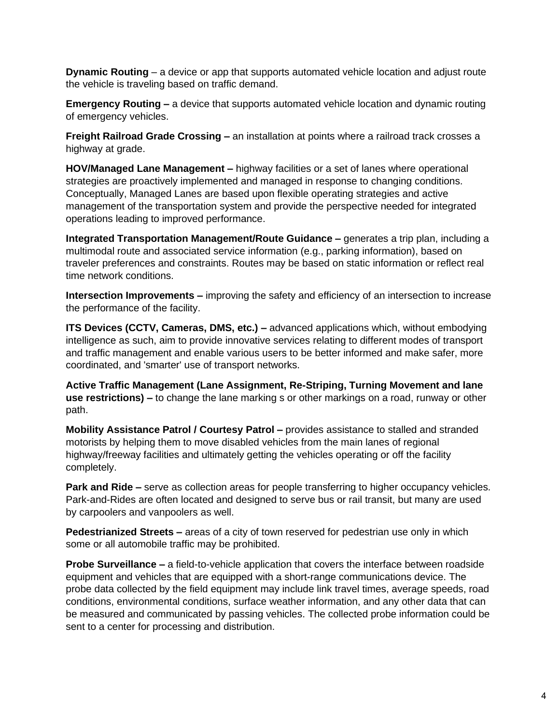**Dynamic Routing** – a device or app that supports automated vehicle location and adjust route the vehicle is traveling based on traffic demand.

**Emergency Routing –** a device that supports automated vehicle location and dynamic routing of emergency vehicles.

**Freight Railroad Grade Crossing –** an installation at points where a railroad track crosses a highway at grade.

**HOV/Managed Lane Management –** highway facilities or a set of lanes where operational strategies are proactively implemented and managed in response to changing conditions. Conceptually, Managed Lanes are based upon flexible operating strategies and active management of the transportation system and provide the perspective needed for integrated operations leading to improved performance.

**Integrated Transportation Management/Route Guidance –** generates a trip plan, including a multimodal route and associated service information (e.g., parking information), based on traveler preferences and constraints. Routes may be based on static information or reflect real time network conditions.

**Intersection Improvements –** improving the safety and efficiency of an intersection to increase the performance of the facility.

**ITS Devices (CCTV, Cameras, DMS, etc.) –** advanced applications which, without embodying intelligence as such, aim to provide innovative services relating to different modes of transport and traffic management and enable various users to be better informed and make safer, more coordinated, and 'smarter' use of transport networks.

**Active Traffic Management (Lane Assignment, Re-Striping, Turning Movement and lane use restrictions) –** to change the lane marking s or other markings on a road, runway or other path.

**Mobility Assistance Patrol / Courtesy Patrol –** provides assistance to stalled and stranded motorists by helping them to move disabled vehicles from the main lanes of regional highway/freeway facilities and ultimately getting the vehicles operating or off the facility completely.

**Park and Ride –** serve as collection areas for people transferring to higher occupancy vehicles. Park-and-Rides are often located and designed to serve bus or rail transit, but many are used by carpoolers and vanpoolers as well.

**Pedestrianized Streets –** areas of a city of town reserved for pedestrian use only in which some or all automobile traffic may be prohibited.

**Probe Surveillance –** a field-to-vehicle application that covers the interface between roadside equipment and vehicles that are equipped with a short-range communications device. The probe data collected by the field equipment may include link travel times, average speeds, road conditions, environmental conditions, surface weather information, and any other data that can be measured and communicated by passing vehicles. The collected probe information could be sent to a center for processing and distribution.